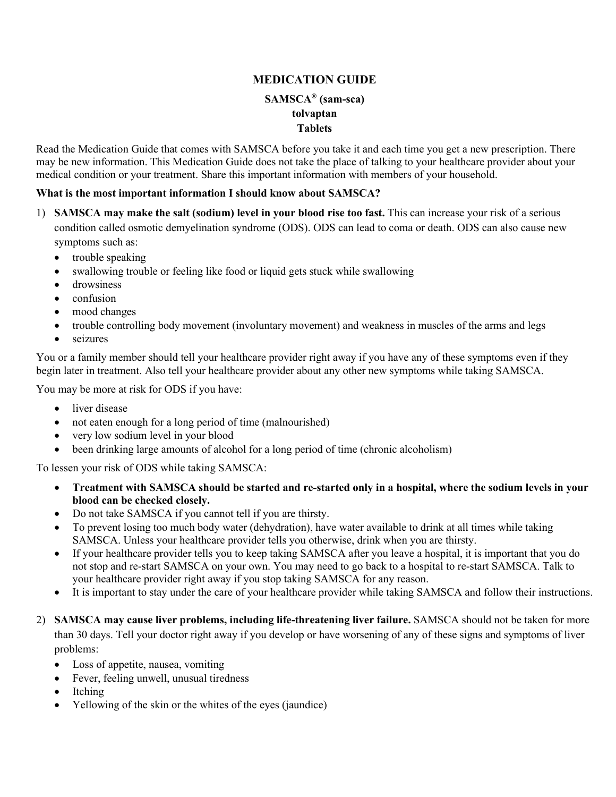# **MEDICATION GUIDE SAMSCA® (sam-sca) tolvaptan**

#### **Tablets**

<span id="page-0-0"></span>Read the Medication Guide that comes with SAMSCA before you take it and each time you get a new prescription. There may be new information. This Medication Guide does not take the place of talking to your healthcare provider about your medical condition or your treatment. Share this important information with members of your household.

### **What is the most important information I should know about SAMSCA?**

- 1) **SAMSCA may make the salt (sodium) level in your blood rise too fast.** This can increase your risk of a serious condition called osmotic demyelination syndrome (ODS). ODS can lead to coma or death. ODS can also cause new symptoms such as:
	- trouble speaking
	- swallowing trouble or feeling like food or liquid gets stuck while swallowing
	- drowsiness
	- confusion
	- mood changes
	- trouble controlling body movement (involuntary movement) and weakness in muscles of the arms and legs
	- seizures

You or a family member should tell your healthcare provider right away if you have any of these symptoms even if they begin later in treatment. Also tell your healthcare provider about any other new symptoms while taking SAMSCA.

You may be more at risk for ODS if you have:

- liver disease
- not eaten enough for a long period of time (malnourished)
- very low sodium level in your blood
- been drinking large amounts of alcohol for a long period of time (chronic alcoholism)

To lessen your risk of ODS while taking SAMSCA:

- **Treatment with SAMSCA should be started and re-started only in a hospital, where the sodium levels in your blood can be checked closely.**
- Do not take SAMSCA if you cannot tell if you are thirsty.
- To prevent losing too much body water (dehydration), have water available to drink at all times while taking SAMSCA. Unless your healthcare provider tells you otherwise, drink when you are thirsty.
- If your healthcare provider tells you to keep taking SAMSCA after you leave a hospital, it is important that you do not stop and re-start SAMSCA on your own. You may need to go back to a hospital to re-start SAMSCA. Talk to your healthcare provider right away if you stop taking SAMSCA for any reason.
- It is important to stay under the care of your healthcare provider while taking SAMSCA and follow their instructions.
- 2) **SAMSCA may cause liver problems, including life-threatening liver failure.** SAMSCA should not be taken for more than 30 days. Tell your doctor right away if you develop or have worsening of any of these signs and symptoms of liver problems:
	- Loss of appetite, nausea, vomiting
	- Fever, feeling unwell, unusual tiredness
	- **Itching**
	- Yellowing of the skin or the whites of the eyes (jaundice)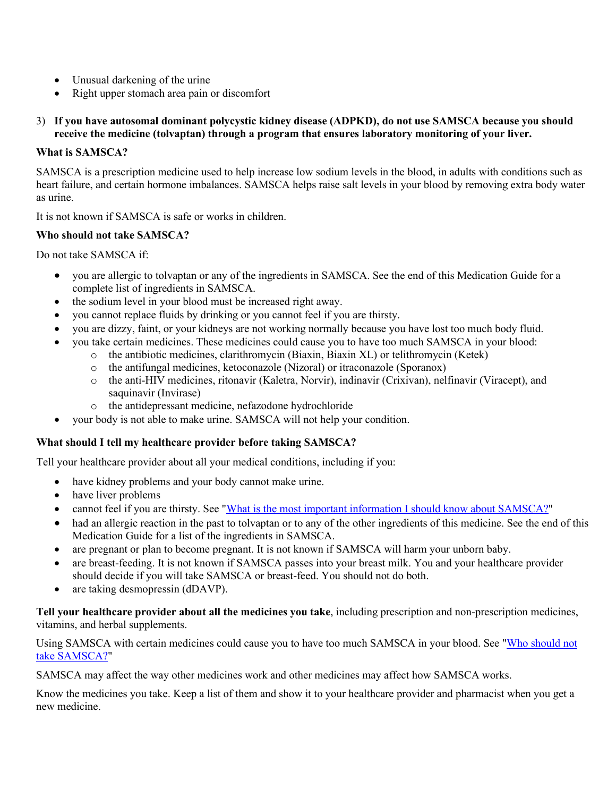- Unusual darkening of the urine
- Right upper stomach area pain or discomfort
- 3) **If you have autosomal dominant polycystic kidney disease (ADPKD), do not use SAMSCA because you should receive the medicine (tolvaptan) through a program that ensures laboratory monitoring of your liver.**

# **What is SAMSCA?**

SAMSCA is a prescription medicine used to help increase low sodium levels in the blood, in adults with conditions such as heart failure, and certain hormone imbalances. SAMSCA helps raise salt levels in your blood by removing extra body water as urine.

It is not known if SAMSCA is safe or works in children.

# **Who should not take SAMSCA?**

Do not take SAMSCA if:

- you are allergic to tolvaptan or any of the ingredients in SAMSCA. See the end of this Medication Guide for a complete list of ingredients in SAMSCA.
- the sodium level in your blood must be increased right away.
- you cannot replace fluids by drinking or you cannot feel if you are thirsty.
- you are dizzy, faint, or your kidneys are not working normally because you have lost too much body fluid.
- you take certain medicines. These medicines could cause you to have too much SAMSCA in your blood:
	- o the antibiotic medicines, clarithromycin (Biaxin, Biaxin XL) or telithromycin (Ketek)
		- o the antifungal medicines, ketoconazole (Nizoral) or itraconazole (Sporanox)
		- o the anti-HIV medicines, ritonavir (Kaletra, Norvir), indinavir (Crixivan), nelfinavir (Viracept), and saquinavir (Invirase)
		- o the antidepressant medicine, nefazodone hydrochloride
- your body is not able to make urine. SAMSCA will not help your condition.

# **What should I tell my healthcare provider before taking SAMSCA?**

Tell your healthcare provider about all your medical conditions, including if you:

- have kidney problems and your body cannot make urine.
- have liver problems
- cannot feel if you are thirsty. See ["What is the most important information I should know about SAMSCA?"](#page-0-0)
- had an allergic reaction in the past to tolvaptan or to any of the other ingredients of this medicine. See the end of this Medication Guide for a list of the ingredients in SAMSCA.
- are pregnant or plan to become pregnant. It is not known if SAMSCA will harm your unborn baby.
- are breast-feeding. It is not known if SAMSCA passes into your breast milk. You and your healthcare provider should decide if you will take SAMSCA or breast-feed. You should not do both.
- are taking desmopressin (dDAVP).

**Tell your healthcare provider about all the medicines you take**, including prescription and non-prescription medicines, vitamins, and herbal supplements.

Using SAMSCA with certain medicines could cause you to have too much SAMSCA in your blood. See ["Who should not](#page-0-0)  [take SAMSCA?"](#page-0-0)

SAMSCA may affect the way other medicines work and other medicines may affect how SAMSCA works.

Know the medicines you take. Keep a list of them and show it to your healthcare provider and pharmacist when you get a new medicine.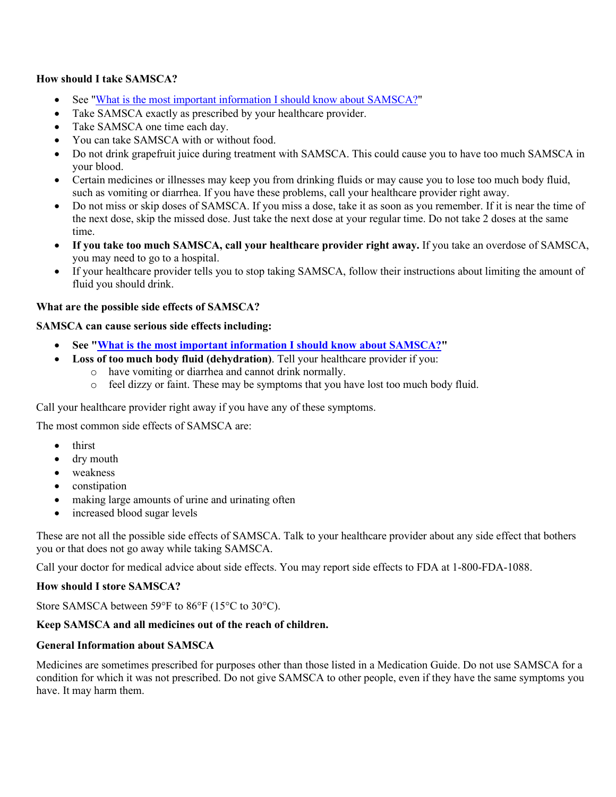#### **How should I take SAMSCA?**

- See ["What is the most important information I should know about SAMSCA?"](#page-0-0)
- Take SAMSCA exactly as prescribed by your healthcare provider.
- Take SAMSCA one time each day.
- You can take SAMSCA with or without food.
- Do not drink grapefruit juice during treatment with SAMSCA. This could cause you to have too much SAMSCA in your blood.
- Certain medicines or illnesses may keep you from drinking fluids or may cause you to lose too much body fluid, such as vomiting or diarrhea. If you have these problems, call your healthcare provider right away.
- Do not miss or skip doses of SAMSCA. If you miss a dose, take it as soon as you remember. If it is near the time of the next dose, skip the missed dose. Just take the next dose at your regular time. Do not take 2 doses at the same time.
- **If you take too much SAMSCA, call your healthcare provider right away.** If you take an overdose of SAMSCA, you may need to go to a hospital.
- If your healthcare provider tells you to stop taking SAMSCA, follow their instructions about limiting the amount of fluid you should drink.

### **What are the possible side effects of SAMSCA?**

#### **SAMSCA can cause serious side effects including:**

- **See ["What is the most important information I should know about SAMSCA?"](#page-0-0)**
- **Loss of too much body fluid (dehydration)**. Tell your healthcare provider if you:
	- o have vomiting or diarrhea and cannot drink normally.
	- $\circ$  feel dizzy or faint. These may be symptoms that you have lost too much body fluid.

Call your healthcare provider right away if you have any of these symptoms.

The most common side effects of SAMSCA are:

- thirst
- dry mouth
- weakness
- constipation
- making large amounts of urine and urinating often
- increased blood sugar levels

These are not all the possible side effects of SAMSCA. Talk to your healthcare provider about any side effect that bothers you or that does not go away while taking SAMSCA.

Call your doctor for medical advice about side effects. You may report side effects to FDA at 1-800-FDA-1088.

#### **How should I store SAMSCA?**

Store SAMSCA between 59°F to 86°F (15°C to 30°C).

### **Keep SAMSCA and all medicines out of the reach of children.**

# **General Information about SAMSCA**

Medicines are sometimes prescribed for purposes other than those listed in a Medication Guide. Do not use SAMSCA for a condition for which it was not prescribed. Do not give SAMSCA to other people, even if they have the same symptoms you have. It may harm them.